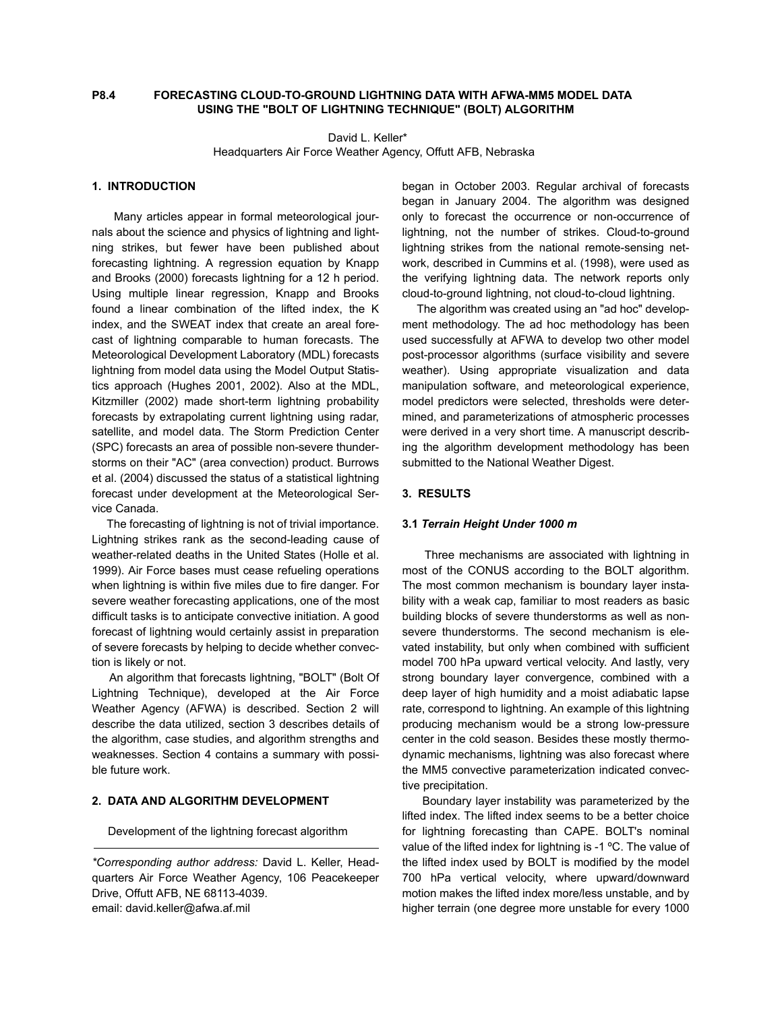# **P8.4 FORECASTING CLOUD-TO-GROUND LIGHTNING DATA WITH AFWA-MM5 MODEL DATA USING THE "BOLT OF LIGHTNING TECHNIQUE" (BOLT) ALGORITHM**

 David L. Keller\* Headquarters Air Force Weather Agency, Offutt AFB, Nebraska

# **1. INTRODUCTION**

 Many articles appear in formal meteorological journals about the science and physics of lightning and lightning strikes, but fewer have been published about forecasting lightning. A regression equation by Knapp and Brooks (2000) forecasts lightning for a 12 h period. Using multiple linear regression, Knapp and Brooks found a linear combination of the lifted index, the K index, and the SWEAT index that create an areal forecast of lightning comparable to human forecasts. The Meteorological Development Laboratory (MDL) forecasts lightning from model data using the Model Output Statistics approach (Hughes 2001, 2002). Also at the MDL, Kitzmiller (2002) made short-term lightning probability forecasts by extrapolating current lightning using radar, satellite, and model data. The Storm Prediction Center (SPC) forecasts an area of possible non-severe thunderstorms on their "AC" (area convection) product. Burrows et al. (2004) discussed the status of a statistical lightning forecast under development at the Meteorological Service Canada.

 The forecasting of lightning is not of trivial importance. Lightning strikes rank as the second-leading cause of weather-related deaths in the United States (Holle et al. 1999). Air Force bases must cease refueling operations when lightning is within five miles due to fire danger. For severe weather forecasting applications, one of the most difficult tasks is to anticipate convective initiation. A good forecast of lightning would certainly assist in preparation of severe forecasts by helping to decide whether convection is likely or not.

 An algorithm that forecasts lightning, "BOLT" (Bolt Of Lightning Technique), developed at the Air Force Weather Agency (AFWA) is described. Section 2 will describe the data utilized, section 3 describes details of the algorithm, case studies, and algorithm strengths and weaknesses. Section 4 contains a summary with possible future work.

# **2. DATA AND ALGORITHM DEVELOPMENT**

Development of the lightning forecast algorithm

began in October 2003. Regular archival of forecasts began in January 2004. The algorithm was designed only to forecast the occurrence or non-occurrence of lightning, not the number of strikes. Cloud-to-ground lightning strikes from the national remote-sensing network, described in Cummins et al. (1998), were used as the verifying lightning data. The network reports only cloud-to-ground lightning, not cloud-to-cloud lightning.

 The algorithm was created using an "ad hoc" development methodology. The ad hoc methodology has been used successfully at AFWA to develop two other model post-processor algorithms (surface visibility and severe weather). Using appropriate visualization and data manipulation software, and meteorological experience, model predictors were selected, thresholds were determined, and parameterizations of atmospheric processes were derived in a very short time. A manuscript describing the algorithm development methodology has been submitted to the National Weather Digest.

# **3. RESULTS**

#### **3.1** *Terrain Height Under 1000 m*

 Three mechanisms are associated with lightning in most of the CONUS according to the BOLT algorithm. The most common mechanism is boundary layer instability with a weak cap, familiar to most readers as basic building blocks of severe thunderstorms as well as nonsevere thunderstorms. The second mechanism is elevated instability, but only when combined with sufficient model 700 hPa upward vertical velocity. And lastly, very strong boundary layer convergence, combined with a deep layer of high humidity and a moist adiabatic lapse rate, correspond to lightning. An example of this lightning producing mechanism would be a strong low-pressure center in the cold season. Besides these mostly thermodynamic mechanisms, lightning was also forecast where the MM5 convective parameterization indicated convective precipitation.

 Boundary layer instability was parameterized by the lifted index. The lifted index seems to be a better choice for lightning forecasting than CAPE. BOLT's nominal value of the lifted index for lightning is -1 °C. The value of the lifted index used by BOLT is modified by the model 700 hPa vertical velocity, where upward/downward motion makes the lifted index more/less unstable, and by higher terrain (one degree more unstable for every 1000

*<sup>\*</sup>Corresponding author address:* David L. Keller, Headquarters Air Force Weather Agency, 106 Peacekeeper Drive, Offutt AFB, NE 68113-4039. email: david.keller@afwa.af.mil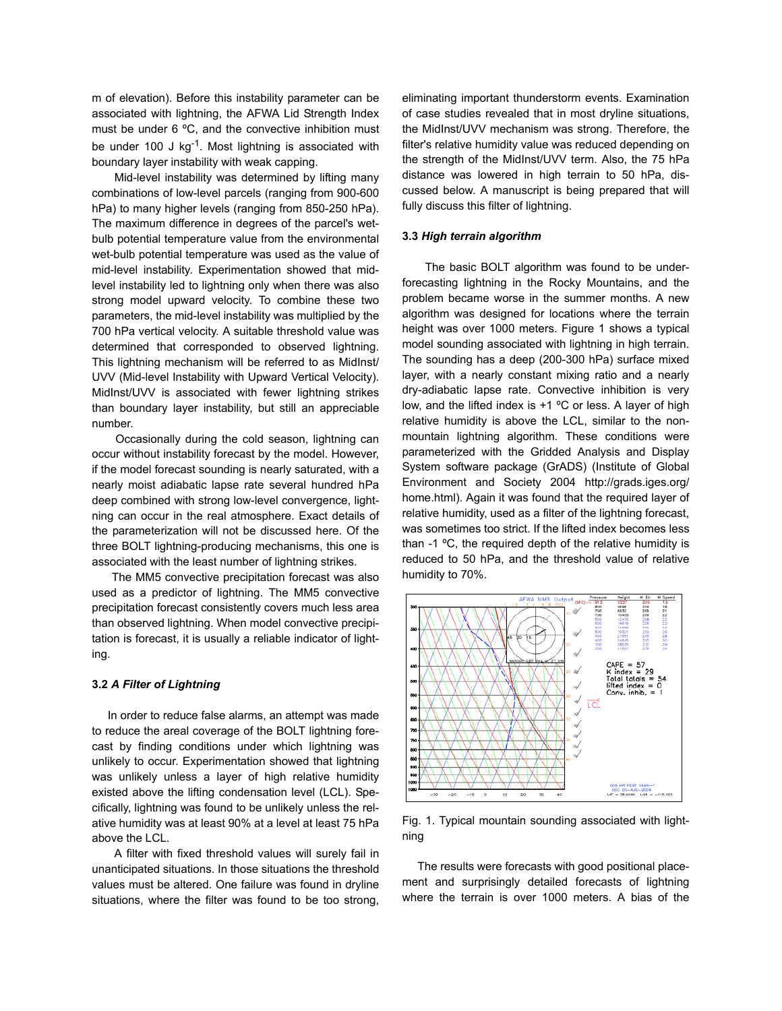m of elevation). Before this instability parameter can be associated with lightning, the AFWA Lid Strength Index must be under 6 ºC, and the convective inhibition must be under 100 J  $kg^{-1}$ . Most lightning is associated with boundary layer instability with weak capping.

 Mid-level instability was determined by lifting many combinations of low-level parcels (ranging from 900-600 hPa) to many higher levels (ranging from 850-250 hPa). The maximum difference in degrees of the parcel's wetbulb potential temperature value from the environmental wet-bulb potential temperature was used as the value of mid-level instability. Experimentation showed that midlevel instability led to lightning only when there was also strong model upward velocity. To combine these two parameters, the mid-level instability was multiplied by the 700 hPa vertical velocity. A suitable threshold value was determined that corresponded to observed lightning. This lightning mechanism will be referred to as MidInst/ UVV (Mid-level Instability with Upward Vertical Velocity). MidInst/UVV is associated with fewer lightning strikes than boundary layer instability, but still an appreciable number.

 Occasionally during the cold season, lightning can occur without instability forecast by the model. However, if the model forecast sounding is nearly saturated, with a nearly moist adiabatic lapse rate several hundred hPa deep combined with strong low-level convergence, lightning can occur in the real atmosphere. Exact details of the parameterization will not be discussed here. Of the three BOLT lightning-producing mechanisms, this one is associated with the least number of lightning strikes.

 The MM5 convective precipitation forecast was also used as a predictor of lightning. The MM5 convective precipitation forecast consistently covers much less area than observed lightning. When model convective precipitation is forecast, it is usually a reliable indicator of lighting.

### **3.2** *A Filter of Lightning*

 In order to reduce false alarms, an attempt was made to reduce the areal coverage of the BOLT lightning forecast by finding conditions under which lightning was unlikely to occur. Experimentation showed that lightning was unlikely unless a layer of high relative humidity existed above the lifting condensation level (LCL). Specifically, lightning was found to be unlikely unless the relative humidity was at least 90% at a level at least 75 hPa above the LCL.

 A filter with fixed threshold values will surely fail in unanticipated situations. In those situations the threshold values must be altered. One failure was found in dryline situations, where the filter was found to be too strong, eliminating important thunderstorm events. Examination of case studies revealed that in most dryline situations, the MidInst/UVV mechanism was strong. Therefore, the filter's relative humidity value was reduced depending on the strength of the MidInst/UVV term. Also, the 75 hPa distance was lowered in high terrain to 50 hPa, discussed below. A manuscript is being prepared that will fully discuss this filter of lightning.

### **3.3** *High terrain algorithm*

 The basic BOLT algorithm was found to be underforecasting lightning in the Rocky Mountains, and the problem became worse in the summer months. A new algorithm was designed for locations where the terrain height was over 1000 meters. Figure 1 shows a typical model sounding associated with lightning in high terrain. The sounding has a deep (200-300 hPa) surface mixed layer, with a nearly constant mixing ratio and a nearly dry-adiabatic lapse rate. Convective inhibition is very low, and the lifted index is +1 ºC or less. A layer of high relative humidity is above the LCL, similar to the nonmountain lightning algorithm. These conditions were parameterized with the Gridded Analysis and Display System software package (GrADS) (Institute of Global Environment and Society 2004 http://grads.iges.org/ home.html). Again it was found that the required layer of relative humidity, used as a filter of the lightning forecast, was sometimes too strict. If the lifted index becomes less than -1 ºC, the required depth of the relative humidity is reduced to 50 hPa, and the threshold value of relative humidity to 70%.



Fig. 1. Typical mountain sounding associated with lightning

 The results were forecasts with good positional placement and surprisingly detailed forecasts of lightning where the terrain is over 1000 meters. A bias of the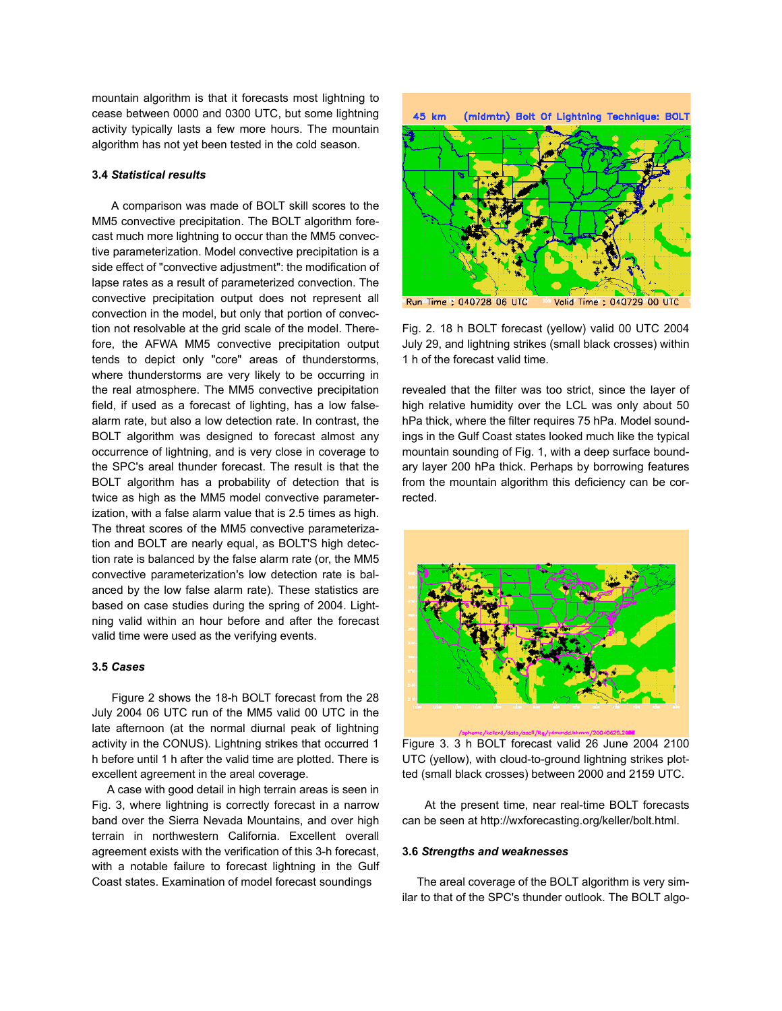mountain algorithm is that it forecasts most lightning to cease between 0000 and 0300 UTC, but some lightning activity typically lasts a few more hours. The mountain algorithm has not yet been tested in the cold season.

### **3.4** *Statistical results*

 A comparison was made of BOLT skill scores to the MM5 convective precipitation. The BOLT algorithm forecast much more lightning to occur than the MM5 convective parameterization. Model convective precipitation is a side effect of "convective adjustment": the modification of lapse rates as a result of parameterized convection. The convective precipitation output does not represent all convection in the model, but only that portion of convection not resolvable at the grid scale of the model. Therefore, the AFWA MM5 convective precipitation output tends to depict only "core" areas of thunderstorms, where thunderstorms are very likely to be occurring in the real atmosphere. The MM5 convective precipitation field, if used as a forecast of lighting, has a low falsealarm rate, but also a low detection rate. In contrast, the BOLT algorithm was designed to forecast almost any occurrence of lightning, and is very close in coverage to the SPC's areal thunder forecast. The result is that the BOLT algorithm has a probability of detection that is twice as high as the MM5 model convective parameterization, with a false alarm value that is 2.5 times as high. The threat scores of the MM5 convective parameterization and BOLT are nearly equal, as BOLT'S high detection rate is balanced by the false alarm rate (or, the MM5 convective parameterization's low detection rate is balanced by the low false alarm rate). These statistics are based on case studies during the spring of 2004. Lightning valid within an hour before and after the forecast valid time were used as the verifying events.

#### **3.5** *Cases*

 Figure 2 shows the 18-h BOLT forecast from the 28 July 2004 06 UTC run of the MM5 valid 00 UTC in the late afternoon (at the normal diurnal peak of lightning activity in the CONUS). Lightning strikes that occurred 1 h before until 1 h after the valid time are plotted. There is excellent agreement in the areal coverage.

 A case with good detail in high terrain areas is seen in Fig. 3, where lightning is correctly forecast in a narrow band over the Sierra Nevada Mountains, and over high terrain in northwestern California. Excellent overall agreement exists with the verification of this 3-h forecast, with a notable failure to forecast lightning in the Gulf Coast states. Examination of model forecast soundings



Fig. 2. 18 h BOLT forecast (yellow) valid 00 UTC 2004 July 29, and lightning strikes (small black crosses) within 1 h of the forecast valid time.

revealed that the filter was too strict, since the layer of high relative humidity over the LCL was only about 50 hPa thick, where the filter requires 75 hPa. Model soundings in the Gulf Coast states looked much like the typical mountain sounding of Fig. 1, with a deep surface boundary layer 200 hPa thick. Perhaps by borrowing features from the mountain algorithm this deficiency can be corrected.



Figure 3. 3 h BOLT forecast valid 26 June 2004 2100 UTC (yellow), with cloud-to-ground lightning strikes plotted (small black crosses) between 2000 and 2159 UTC.

 At the present time, near real-time BOLT forecasts can be seen at http://wxforecasting.org/keller/bolt.html.

#### **3.6** *Strengths and weaknesses*

 The areal coverage of the BOLT algorithm is very similar to that of the SPC's thunder outlook. The BOLT algo